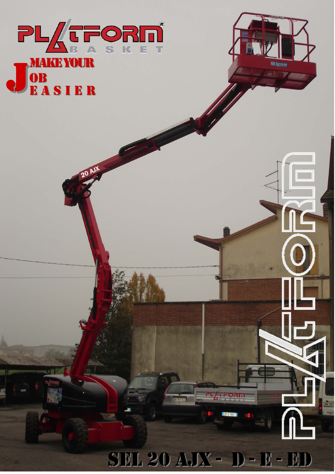

20 AJX



SEL 20 AJX - D - E - ED

**TALES** 

PL/tFORM

**ICX 518ET**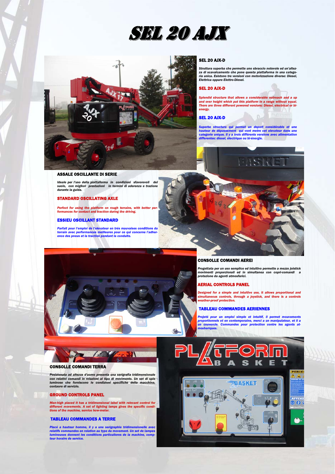



## SEL 20 AJX-D

*Struttura superba che permette uno sbraccio notevole ed un'altezza di scavalcamento che pone questa piattaforma in una catego-ria unica. Esistono tre versioni con motorizzazione diverse: Diesel, Elettrica oppure Elettro-Diesel.* 

# SEL 20 AJX-D

 *Splendid structure that allows a considerable outreach and a up and over height which put this platform in a range without equal. There are three different powered versions: Diesel, electrical or bienergy.* 

# SEL 20 AJX-D

Superbe structure qui permet un deport considérable et une<br>hauteur de dépassement qui vont metre cet elevateur dans une<br>categorie unique. Il y a trois différents versions avec alimentation<br>differentes: diesel, électrique o



# ASSALE OSCILLANTE DI SERIE

*Ideale per l'uso della piattaforma in condizioni sfavorevoli del suolo, con migliori prestazioni in termini di aderenza e trazione durante la guida.* 

# STANDARD OSCILLATING AXLE

*Perfect for using the platform on rough terrains, with better per-formances for contact and traction during the driving.* 

# ESSIEU OSCILLANT STANDARD

*Parfait pour l'emploi de l'elevateur en trés mauvaises conditions du terrain avec performances meilleures pour ce qui concerne l'adher-ence des pneus et la traction pendant la conduite.*



### CONSOLLE COMANDI AEREI

*Progettata per un uso semplice ed intuitivo permette a mezzo joistick movimenti proporzionali ed in simultanea con copri-comandi a protezione da agenti atmosferici.* 

# AERIAL CONTROLS PANEL

 *Designed for a simple and intuitive use, it allows proportional and simultaneous controls, through a joystick, and there is a controls weather-proof protection.* 

#### TABLEAU COMMANDES AERIENNES

Projeté pour un emploi simple et intuitif, il permet mouvements<br>proportionnels et en contemporaine, merci a un manipulateur, et il a<br>un couvercle. Commandes pour protection contre les agents at-<br>mosheriques.



# CONSOLLE COMANDI TERRA

.<br>Posizionata ad altezza d'uomo presenta una serigrafia tridimensionale<br>con relativi comandi in relazioni al tipo di movimento. Un set di spie<br>luminose che forniscono le condizioni specifiche della macchina, *contaore di servizio.* 

# GROUND CONTROLS PANEL

*Man-high placed it has a tridimensional label with relevant control for different movements. A set of lighting lamps gives the specific condi-tions of the machine, service how-meter.* 

# TABLEAU COMMANDES A TERRE

Placé a hauteur homme, il y a une serigraphie tridimensionelle avec<br>relatifs commandes en relation au type du movement. Un set de lampes<br>lumineuses donnent les conditions particulieres de la machine, comp-<br>teur horaire de

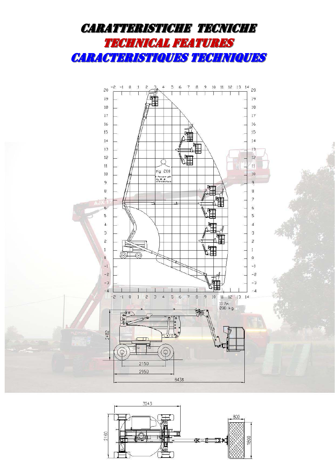